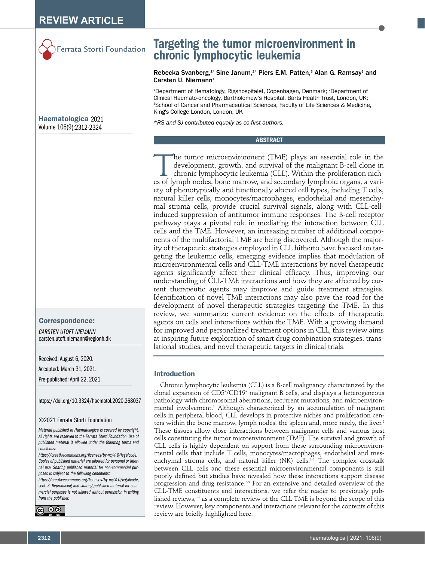

Haematologica 2021 Volume 106(9):2312-2324

#### Correspondence:

*CARSTEN UTOFT NIEMANN*  carsten.utoft.niemann@regionh.dk

Received: August 6, 2020.

Accepted: March 31, 2021.

Pre-published: April 22, 2021.

https://doi.org/10.3324/haematol.2020.268037

#### ©2021 Ferrata Storti Foundation

*Material published in Haematologica is covered by copyright. All rights are reserved to the Ferrata Storti Foundation. Use of published material is allowed under the following terms and conditions:* 

*https://creativecommons.org/licenses/by-nc/4.0/legalcode. Copies of published material are allowed for personal or internal use. Sharing published material for non-commercial purposes is subject to the following conditions:* 

*https://creativecommons.org/licenses/by-nc/4.0/legalcode, sect. 3. Reproducing and sharing published material for commercial purposes is not allowed without permission in writing from the publisher.*



# Targeting the tumor microenvironment in chronic lymphocytic leukemia

Rebecka Svanberg,<sup>1\*</sup> Sine Janum,<sup>2\*</sup> Piers E.M. Patten,<sup>3</sup> Alan G. Ramsay<sup>3</sup> and Carsten U. Niemann $1$ 

<sup>1</sup>Department of Hematology, Rigshospitalet, Copenhagen, Denmark; <sup>2</sup>Department of Clinical Haemato-oncology, Bartholomew's Hospital, Barts Health Trust, London, UK; 3 School of Cancer and Pharmaceutical Sciences, Faculty of Life Sciences & Medicine, King's College London, London, UK

*\*RS and SJ contributed equally as co-first authors.* 

#### **ABSTRACT**

The tumor microenvironment (TME) plays an essential role in the development, growth, and survival of the malignant B-cell clone in chronic lymphocytic leukemia (CLL). Within the proliferation niches of lymph nodes, bone ma development, growth, and survival of the malignant B-cell clone in chronic lymphocytic leukemia (CLL). Within the proliferation niches of lymph nodes, bone marrow, and secondary lymphoid organs, a variety of phenotypically and functionally altered cell types, including T cells, natural killer cells, monocytes/macrophages, endothelial and mesenchymal stroma cells, provide crucial survival signals, along with CLL-cellinduced suppression of antitumor immune responses. The B-cell receptor pathway plays a pivotal role in mediating the interaction between CLL cells and the TME. However, an increasing number of additional components of the multifactorial TME are being discovered. Although the majority of therapeutic strategies employed in CLL hitherto have focused on targeting the leukemic cells, emerging evidence implies that modulation of microenvironmental cells and CLL-TME interactions by novel therapeutic agents significantly affect their clinical efficacy. Thus, improving our understanding of CLL-TME interactions and how they are affected by current therapeutic agents may improve and guide treatment strategies. Identification of novel TME interactions may also pave the road for the development of novel therapeutic strategies targeting the TME. In this review, we summarize current evidence on the effects of therapeutic agents on cells and interactions within the TME. With a growing demand for improved and personalized treatment options in CLL, this review aims at inspiring future exploration of smart drug combination strategies, translational studies, and novel therapeutic targets in clinical trials.

# Introduction

Chronic lymphocytic leukemia (CLL) is a B-cell malignancy characterized by the clonal expansion of CD5+ /CD19+ malignant B cells, and displays a heterogeneous pathology with chromosomal aberrations, recurrent mutations, and microenvironmental involvement.<sup>1</sup> Although characterized by an accumulation of malignant cells in peripheral blood, CLL develops in protective niches and proliferation centers within the bone marrow, lymph nodes, the spleen and, more rarely, the liver.<sup>2</sup> These tissues allow close interactions between malignant cells and various host cells constituting the tumor microenvironment (TME). The survival and growth of CLL cells is highly dependent on support from these surrounding microenvironmental cells that include T cells, monocytes/macrophages, endothelial and mesenchymal stroma cells, and natural killer (NK) cells.<sup>2-5</sup> The complex crosstalk between CLL cells and these essential microenvironmental components is still poorly defined but studies have revealed how these interactions support disease progression and drug resistance.<sup>69</sup> For an extensive and detailed overview of the CLL-TME constituents and interactions, we refer the reader to previously published reviews,<sup>3-5</sup> as a complete review of the CLL TME is beyond the scope of this review. However, key components and interactions relevant for the contents of this review are briefly highlighted here.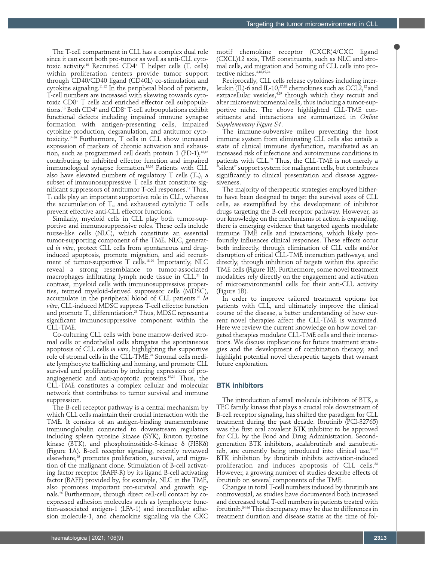The T-cell compartment in CLL has a complex dual role since it can exert both pro-tumor as well as anti-CLL cytotoxic activity.<sup>10</sup> Recruited CD4<sup>+</sup> T helper cells (Tr cells) within proliferation centers provide tumor support through CD40/CD40 ligand (CD40L) co-stimulation and cytokine signaling.11,12 In the peripheral blood of patients, T-cell numbers are increased with skewing towards cytotoxic CD8+ T cells and enriched effector cell subpopulations.13 Both CD4+ and CD8+ T-cell subpopulations exhibit functional defects including impaired immune synapse formation with antigen-presenting cells, impaired cytokine production, degranulation, and antitumor cytotoxicity.14-16 Furthermore, T cells in CLL show increased expression of markers of chronic activation and exhaustion, such as programmed cell death protein 1 (PD-1), $^{13,16}$ contributing to inhibited effector function and impaired immunological synapse formation.15,16 Patients with CLL also have elevated numbers of regulatory T cells  $(T_{\rm reg})$ , a subset of immunosuppressive T cells that constitute significant suppressors of antitumor T-cell responses.<sup>17</sup> Thus, T<sub>h</sub> cells play an important supportive role in CLL, whereas the accumulation of  $T_{\infty}$  and exhausted cytolytic T cells prevent effective anti-CLL effector functions.

Similarly, myeloid cells in CLL play both tumor-supportive and immunosuppressive roles. These cells include nurse-like cells (NLC), which constitute an essential tumor-supporting component of the TME. NLC, generated *in vitro*, protect CLL cells from spontaneous and druginduced apoptosis, promote migration, and aid recruitment of tumor-supportive T cells.18-20 Importantly, NLC reveal a strong resemblance to tumor-associated macrophages infiltrating lymph node tissue in CLL.<sup>21</sup> In contrast, myeloid cells with immunosuppressive properties, termed myeloid-derived suppressor cells (MDSC), accumulate in the peripheral blood of CLL patients.<sup>22</sup> *In vitro*, CLL-induced MDSC suppress T-cell effector function and promote  $T_{\text{eq}}$  differentiation.<sup>23</sup> Thus, MDSC represent a significant immunosuppressive component within the CLL-TME.

Co-culturing CLL cells with bone marrow-derived stromal cells or endothelial cells abrogates the spontaneous apoptosis of CLL cells *in vitro*, highlighting the supportive role of stromal cells in the CLL-TME.24 Stromal cells mediate lymphocyte trafficking and homing, and promote CLL survival and proliferation by inducing expression of proangiogenetic and anti-apoptotic proteins.19,24 Thus, the CLL-TME constitutes a complex cellular and molecular network that contributes to tumor survival and immune suppression.

The B-cell receptor pathway is a central mechanism by which CLL cells maintain their crucial interaction with the TME. It consists of an antigen-binding transmembrane immunoglobulin connected to downstream regulators including spleen tyrosine kinase (SYK), Bruton tyrosine kinase ( $\overline{BTK}$ ), and phosphoinositide-3-kinase  $\delta$  (PI3K $\delta$ ) (Figure 1A). B-cell receptor signaling, recently reviewed elsewhere, $25$  promotes proliferation, survival, and migration of the malignant clone. Stimulation of B-cell activating factor receptor (BAFF-R) by its ligand B-cell activating factor (BAFF) provided by, for example, NLC in the TME, also promotes important pro-survival and growth signals.26 Furthermore, through direct cell-cell contact by coexpressed adhesion molecules such as lymphocyte function-associated antigen-1 (LFA-1) and intercellular adhesion molecule-1, and chemokine signaling via the CXC

motif chemokine receptor (CXCR)4/CXC ligand (CXCL)12 axis, TME constituents, such as NLC and stromal cells, aid migration and homing of CLL cells into protective niches.  $4,18,19,24$ 

Reciprocally, CLL cells release cytokines including interleukin (IL)-6 and IL-10,  $27,28$  chemokines such as CCL2,  $12$  and extracellular vesicles,<sup>4,29</sup> through which they recruit and alter microenvironmental cells, thus inducing a tumor-supportive niche. The above highlighted CLL-TME constituents and interactions are summarized in *Online Supplementary Figure S1*.

The immune-subversive milieu preventing the host immune system from eliminating CLL cells also entails a state of clinical immune dysfunction, manifested as an increased risk of infections and autoimmune conditions in patients with CLL.<sup>30</sup> Thus, the CLL-TME is not merely a "silent" support system for malignant cells, but contributes significantly to clinical presentation and disease aggressiveness.

The majority of therapeutic strategies employed hitherto have been designed to target the survival axes of CLL cells, as exemplified by the development of inhibitor drugs targeting the B-cell receptor pathway. However, as our knowledge on the mechanisms of action is expanding, there is emerging evidence that targeted agents modulate immune TME cells and interactions, which likely profoundly influences clinical responses. These effects occur both indirectly, through elimination of CLL cells and/or disruption of critical CLL-TME interaction pathways, and directly, through inhibition of targets within the specific TME cells (Figure 1B). Furthermore, some novel treatment modalities rely directly on the engagement and activation of microenvironmental cells for their anti-CLL activity (Figure 1B).

In order to improve tailored treatment options for patients with CLL, and ultimately improve the clinical course of the disease, a better understanding of how current novel therapies affect the CLL-TME is warranted. Here we review the current knowledge on how novel targeted therapies modulate CLL-TME cells and their interactions. We discuss implications for future treatment strategies and the development of combination therapy, and highlight potential novel therapeutic targets that warrant future exploration.

#### BTK inhibitors

The introduction of small molecule inhibitors of BTK, a TEC family kinase that plays a crucial role downstream of B-cell receptor signaling, has shifted the paradigm for CLL treatment during the past decade. Ibrutinib (PCI-32765) was the first oral covalent BTK inhibitor to be approved for CLL by the Food and Drug Administration. Secondgeneration BTK inhibitors, acalabrutinib and zanubrutinib, are currently being introduced into clinical use.<sup>31,32</sup> BTK inhibition by ibrutinib inhibits activation-induced proliferation and induces apoptosis of CLL cells.<sup>33</sup> However, a growing number of studies describe effects of ibrutinib on several components of the TME.

Changes in total T-cell numbers induced by ibrutinib are controversial, as studies have documented both increased and decreased total T-cell numbers in patients treated with ibrutinib.34-36 This discrepancy may be due to differences in treatment duration and disease status at the time of fol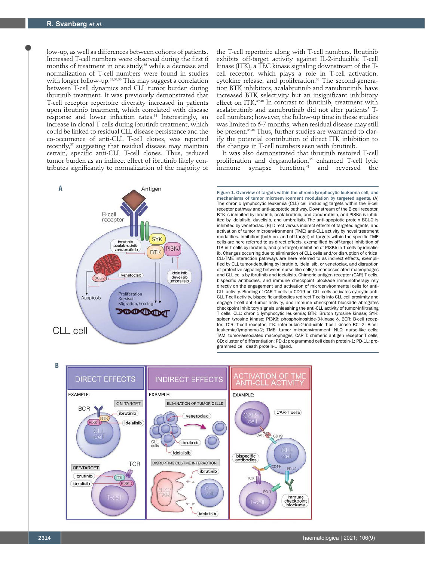low-up, as well as differences between cohorts of patients. Increased T-cell numbers were observed during the first 6 months of treatment in one study,<sup>35</sup> while a decrease and normalization of T-cell numbers were found in studies with longer follow-up.<sup>33,34,36</sup> This may suggest a correlation between T-cell dynamics and CLL tumor burden during ibrutinib treatment. It was previously demonstrated that T-cell receptor repertoire diversity increased in patients upon ibrutinib treatment, which correlated with disease response and lower infection rates.<sup>34</sup> Interestingly, an increase in clonal T cells during ibrutinib treatment, which could be linked to residual CLL disease persistence and the co-occurrence of anti-CLL T-cell clones, was reported recently,<sup>37</sup> suggesting that residual disease may maintain certain, specific anti-CLL T-cell clones. Thus, reduced tumor burden as an indirect effect of ibrutinib likely contributes significantly to normalization of the majority of



the T-cell repertoire along with T-cell numbers. Ibrutinib exhibits off-target activity against IL-2-inducible T-cell kinase (ITK), a TEC kinase signaling downstream of the Tcell receptor, which plays a role in T-cell activation, cytokine release, and proliferation.<sup>38</sup> The second-generation BTK inhibitors, acalabrutinib and zanubrutinib, have increased BTK selectivity but an insignificant inhibitory effect on ITK.<sup>39,40</sup> In contrast to ibrutinib, treatment with acalabrutinib and zanubrutinib did not alter patients' Tcell numbers; however, the follow-up time in these studies was limited to 6-7 months, when residual disease may still be present.<sup>35,40</sup> Thus, further studies are warranted to clarify the potential contribution of direct ITK inhibition to the changes in T-cell numbers seen with ibrutinib.

It was also demonstrated that ibrutinib restored T-cell proliferation and degranulation,<sup>36</sup> enhanced T-cell lytic  $\text{immune}$  synapse function, $41$  and reversed the

Figure 1. Overview of targets within the chronic lymphocytic leukemia cell, and mechanisms of tumor microenvironment modulation by targeted agents. (A) The chronic lymphocytic leukemia (CLL) cell including targets within the B-cell receptor pathway and anti-apoptotic pathway. Downstream of the B-cell receptor, BTK is inhibited by ibrutinib, acalabrutinib, and zanubrutinib, and PI3Kδ is inhibited by idelalisib, duvelisib, and umbralisib. The anti-apoptotic protein BCL-2 is inhibited by venetoclax. (B) Direct *versus* indirect effects of targeted agents, and activation of tumor microenvironment (TME) anti-CLL activity by novel treatment modalities. Inhibition (both on- and off-target) of targets within the specific TME cells are here referred to as direct effects, exemplified by off-target inhibition of ITK in T cells by ibrutinib, and (on-target) inhibition of PI3Kδ in T cells by idelalisib. Changes occurring due to elimination of CLL cells and/or disruption of critical CLL-TME interaction pathways are here referred to as indirect effects, exemplified by CLL tumor-debulking by ibrutinib, idelalisib, or venetoclax, and disruption of protective signaling between nurse-like cells/tumor-associated macrophages and CLL cells by ibrutinib and idelalisib. Chimeric antigen receptor (CAR) T cells, bispecific antibodies, and immune checkpoint blockade immunotherapy rely directly on the engagement and activation of microenvironmental cells for anti-CLL activity. Binding of CAR T cells to CD19 on CLL cells activates cytolytic anti-CLL T-cell activity, bispecific antibodies redirect T cells into CLL cell proximity and engage T-cell anti-tumor activity, and immune checkpoint blockade abrogates checkpoint inhibitory signals unleashing the anti-CLL activity of tumor-infiltrating T cells. CLL: chronic lymphocytic leukemia; BTK: Bruton tyrosine kinase; SYK: spleen tyrosine kinase; PI3Kδ: phosphoinositide-3-kinase δ, BCR: B-cell receptor; TCR: T-cell receptor; ITK: interleukin-2-inducible T-cell kinase BCL-2: B-cell leukemia/lymphoma-2; TME: tumor microenvironment; NLC: nurse-like cells; TAM: tumor-associated macrophages; CAR T: chimeric antigen receptor T cells; CD: cluster of differentiation; PD-1: programmed cell death protein-1; PD-1L: programmed cell death protein-1 ligand.

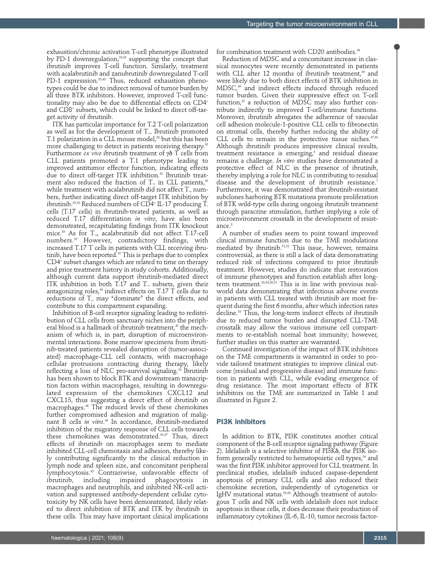exhaustion/chronic activation T-cell phenotype illustrated by PD-1 downregulation,<sup>33,35</sup> supporting the concept that ibrutinib improves T-cell function. Similarly, treatment with acalabrutinib and zanubrutinib downregulated T-cell PD-1 expresssion.<sup>35,40</sup> Thus, reduced exhaustion phenotypes could be due to indirect removal of tumor burden by all three BTK inhibitors. However, improved T-cell functionality may also be due to differential effects on CD4+ and CD8+ subsets, which could be linked to direct off-target activity of ibrutinib.

ITK has particular importance for  $T<sub>n</sub>2$  T-cell polarization as well as for the development of  $T_{\text{ref}}$ . Ibrutinib promoted  $T<sub>n</sub>1$  polarization in a CLL mouse model,<sup>38</sup> but this has been more challenging to detect in patients receiving therapy.<sup>35</sup> Furthermore *ex vivo* ibrutinib treatment of γδ T cells from CLL patients promoted a  $T_{h}1$  phenotype leading to improved antitumor effector function, indicating effects due to direct off-target ITK inhibition.<sup>42</sup> Ibrutinib treatment also reduced the fraction of  $T_{\text{ref}}$  in CLL patients,<sup>43</sup> while treatment with acalabrutinib did not affect  $T_{\tiny$ m} numbers, further indicating direct off-target ITK inhibition by ibrutinib. $^{\text{35,43}}$  Reduced numbers of CD4+ IL-17 producing T. cells  $(T<sub>a</sub>17$  cells) in ibrutinib-treated patients, as well as reduced T.17 differentiation *in vitro*, have also been demonstrated, recapitulating findings from ITK knockout mice.<sup>33</sup> As for  $T_{\text{reg}}$ , acalabrutinib did not affect  $T_{\text{A}}17$ -cell numbers.35 However, contradictory findings, with increased  $T_{1}17$  T cells in patients with CLL receiving ibrutinib, have been reported.<sup>35</sup> This is perhaps due to complex CD4+ subset changes which are related to time on therapy and prior treatment history in study cohorts. Additionally, although current data support ibrutinib-mediated direct ITK inhibition in both  $T_{h}17$  and  $T_{mg}$  subsets, given their antagonizing roles,<sup>44</sup> indirect effects on  $T_{11}$  T cells due to reductions of  $T_{\text{eq}}$  may "dominate" the direct effects, and contribute to this compartment expanding.

Inhibition of B-cell receptor signaling leading to redistribution of CLL cells from sanctuary niches into the peripheral blood is a hallmark of ibrutinib treatment,<sup>45</sup> the mechanism of which is, in part, disruption of microenvironmental interactions. Bone marrow specimens from ibrutinib-treated patients revealed disruption of (tumor-associated) macrophage-CLL cell contacts, with macrophage cellular protrusions contracting during therapy, likely reflecting a loss of NLC pro-survival signaling.<sup>33</sup> Ibrutinib has been shown to block BTK and downstream transcription factors within macrophages, resulting in downregulated expression of the chemokines CXCL12 and CXCL13, thus suggesting a direct effect of ibrutinib on macrophages.46 The reduced levels of these chemokines further compromised adhesion and migration of malignant B cells *in vitro*. 46 In accordance, ibrutinib-mediated inhibition of the migratory response of CLL cells towards these chemokines was demonstrated.33,47 Thus, direct effects of ibrutinib on macrophages seem to mediate inhibited CLL-cell chemotaxis and adhesion, thereby likely contributing significantly to the clinical reduction in lymph node and spleen size, and concomitant peripheral lymphocytosis.<sup>45</sup> Contrariwise, unfavorable effects of<br>ibrutinib, including impaired phagocytosis in including impaired phagocytosis in macrophages and neutrophils, and inhibited NK-cell activation and suppressed antibody-dependent cellular cytotoxicity by NK cells have been demonstrated, likely related to direct inhibition of BTK and ITK by ibrutinib in these cells. This may have important clinical implications

for combination treatment with CD20 antibodies.<sup>48</sup>

Reduction of MDSC and a concomitant increase in classical monocytes were recently demonstrated in patients with CLL after 12 months of ibrutinib treatment,<sup>36</sup> and were likely due to both direct effects of BTK inhibition in MDSC,49 and indirect effects induced through reduced tumor burden. Given their suppressive effect on T-cell function,<sup>23</sup> a reduction of MDSC may also further contribute indirectly to improved T-cell/immune functions. Moreover, ibrutinib abrogates the adherence of vascular cell adhesion molecule-1-positive CLL cells to fibronectin on stromal cells, thereby further reducing the ability of CLL cells to remain in the protective tissue niches. $47,50$ Although ibrutinib produces impressive clinical results, treatment resistance is emerging,<sup>6</sup> and residual disease remains a challenge. *In vitro* studies have demonstrated a protective effect of NLC in the presence of ibrutinib, thereby implying a role for NLC in contributing to residual disease and the development of ibrutinib resistance.<sup>7</sup> Furthermore, it was demonstrated that ibrutinib-resistant subclones harboring BTK mutations promote proliferation of BTK wild-type cells during ongoing ibrutinib treatment through paracrine stimulation, further implying a role of microenvironment crosstalk in the development of resistance.<sup>8</sup>

A number of studies seem to point toward improved clinical immune function due to the TME modulations mediated by ibrutinib.<sup>51,52</sup> This issue, however, remains controversial, as there is still a lack of data demonstrating reduced risk of infections compared to prior ibrutinib treatment. However, studies do indicate that restoration of immune phenotypes and function establish after longterm treatment.33,34,36,51 This is in line with previous realworld data demonstrating that infectious adverse events in patients with CLL treated with ibrutinib are most frequent during the first 6 months, after which infection rates decline.<sup>53</sup> Thus, the long-term indirect effects of ibrutinib due to reduced tumor burden and disrupted CLL-TME crosstalk may allow the various immune cell compartments to re-establish normal host immunity; however, further studies on this matter are warranted.

Continued investigation of the impact of BTK inhibitors on the TME compartments is warranted in order to provide tailored treatment strategies to improve clinical outcome (residual and progressive disease) and immune function in patients with CLL, while evading emergence of drug resistance. The most important effects of BTK inhibitors on the TME are summarized in Table 1 and illustrated in Figure 2.

#### PI3K inhibitors

In addition to BTK, PI3K constitutes another critical component of the B-cell receptor signaling pathway (Figure 2). Idelalisib is a selective inhibitor of PI3Kδ, the PI3K isoform generally restricted to hematopoietic cell types,<sup>54</sup> and was the first PI3K inhibitor approved for CLL treatment. In preclinical studies, idelalisib induced caspase-dependent apoptosis of primary CLL cells and also reduced their chemokine secretion, independently of cytogenetics or IgHV mutational status.<sup>55,56</sup> Although treatment of autologous T cells and NK cells with idelalisib does not induce apoptosis in these cells, it does decrease their production of inflammatory cytokines (IL-6, IL-10, tumor necrosis factor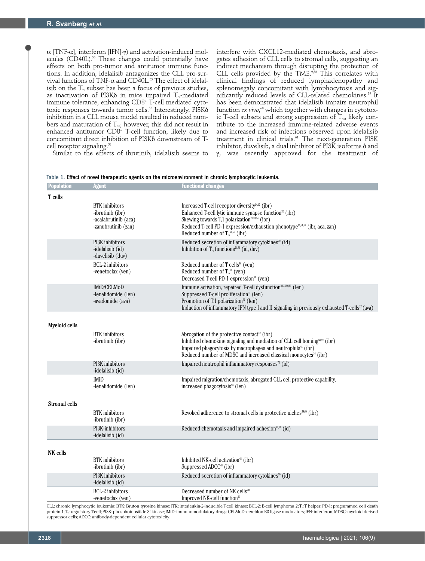$\alpha$  [TNF-α], interferon [IFN]-γ) and activation-induced molecules (CD40L).<sup>55</sup> These changes could potentially have effects on both pro-tumor and antitumor immune functions. In addition, idelalisib antagonizes the CLL pro-survival functions of TNF- $\alpha$  and CD40L.<sup>55</sup> The effect of idelalisib on the  $T_{\text{ex}}$  subset has been a focus of previous studies, as inactivation of PI3K $\delta$  in mice impaired  $T_{\text{ref}}$ -mediated immune tolerance, enhancing CD8+ T-cell mediated cytotoxic responses towards tumor cells. $57$  Interestingly, PI3K $\delta$ inhibition in a CLL mouse model resulted in reduced numbers and maturation of  $T_{\infty}$ ; however, this did not result in enhanced antitumor CD8+ T-cell function, likely due to concomitant direct inhibition of PI3Kδ downstream of Tcell receptor signaling.<sup>58</sup>

interfere with CXCL12-mediated chemotaxis, and abrogates adhesion of CLL cells to stromal cells, suggesting an indirect mechanism through disrupting the protection of CLL cells provided by the TME.9,56 This correlates with clinical findings of reduced lymphadenopathy and splenomegaly concomitant with lymphocytosis and significantly reduced levels of CLL-related chemokines.59 It has been demonstrated that idelalisib impairs neutrophil function *ex vivo*, 60 which together with changes in cytotoxic T-cell subsets and strong suppression of  $T_{\text{ref}}$ , likely contribute to the increased immune-related adverse events and increased risk of infections observed upon idelalisib treatment in clinical trials.<sup>61</sup> The next-generation PI3K inhibitor, duvelisib, a dual inhibitor of PI3K isoforms δ and γ, was recently approved for the treatment of

Similar to the effects of ibrutinib, idelalisib seems to

| Table 1. Effect of novel therapeutic agents on the microenvironment in chronic lymphocytic leukemia. |  |
|------------------------------------------------------------------------------------------------------|--|
|------------------------------------------------------------------------------------------------------|--|

| <b>Population</b> | <b>Agent</b>                                                                             | <b>Functional changes</b>                                                                                                                                                                                                                                                                                                                                                            |
|-------------------|------------------------------------------------------------------------------------------|--------------------------------------------------------------------------------------------------------------------------------------------------------------------------------------------------------------------------------------------------------------------------------------------------------------------------------------------------------------------------------------|
| T cells           |                                                                                          |                                                                                                                                                                                                                                                                                                                                                                                      |
|                   | <b>BTK</b> inhibitors<br>-ibrutinib (ibr)<br>-acalabrutinib (aca)<br>-zanubrutinib (zan) | Increased T-cell receptor diversity <sup>34,37</sup> (ibr)<br>Enhanced T-cell lytic immune synapse function <sup>52</sup> (ibr)<br>Skewing towards $Tn1$ polarization <sup>23,53,54</sup> (ibr)<br>Reduced T-cell PD-1 expression/exhaustion phenotype <sup>49,51,67</sup> (ibr, aca, zan)<br>Reduced number of $T_{\scriptscriptstyle \text{reg}}^{\scriptscriptstyle 51,55}$ (ibr) |
|                   | PI3K inhibitors<br>-idelalisib (id)<br>-duvelisib (duv)                                  | Reduced secretion of inflammatory cytokines <sup>70</sup> (id)<br>Inhibition of $T_{\text{\tiny{max}}}$ functions <sup>73,79</sup> (id, duv)                                                                                                                                                                                                                                         |
|                   | BCL-2 inhibitors<br>-venetoclax (ven)                                                    | Reduced number of T cells <sup>70</sup> (ven)<br>Reduced number of $T_{\rm ss}^{70}$ (ven)<br>Decreased T-cell PD-1 expression <sup>70</sup> (ven)                                                                                                                                                                                                                                   |
|                   | IMiD/CELMoD<br>-lenalidomide (len)<br>-avadomide (ava)                                   | Immune activation, repaired T-cell dysfunction <sup>20,24,90,91</sup> (len)<br>Suppressed T-cell proliferation <sup>93</sup> (len)<br>Promotion of T.1 polarization <sup>92</sup> (len)<br>Induction of inflammatory IFN type I and II signaling in previously exhausted T-cells <sup>27</sup> (ava)                                                                                 |
| Myeloid cells     |                                                                                          |                                                                                                                                                                                                                                                                                                                                                                                      |
|                   | <b>BTK</b> inhibitors<br>-ibrutinib (ibr)                                                | Abrogation of the protective contact <sup>49</sup> (ibr)<br>Inhibited chemokine signaling and mediation of CLL cell homing <sup>58,59</sup> (ibr)<br>Impaired phagocytosis by macrophages and neutrophils <sup>48</sup> (ibr)<br>Reduced number of MDSC and increased classical monocytes <sup>36</sup> (ibr)                                                                        |
|                   | PI3K inhibitors<br>-idelalisib (id)                                                      | Impaired neutrophil inflammatory responses <sup>76</sup> (id)                                                                                                                                                                                                                                                                                                                        |
|                   | <b>IMiD</b><br>-lenalidomide (len)                                                       | Impaired migration/chemotaxis, abrogated CLL cell protective capability,<br>increased phagocytosis <sup>93</sup> (len)                                                                                                                                                                                                                                                               |
| Stromal cells     |                                                                                          |                                                                                                                                                                                                                                                                                                                                                                                      |
|                   | <b>BTK</b> inhibitors<br>-ibrutinib (ibr)                                                | Revoked adherence to stromal cells in protective niches <sup>59,60</sup> (ibr)                                                                                                                                                                                                                                                                                                       |
|                   | PI3K-inhibitors<br>-idelalisib (id)                                                      | Reduced chemotaxis and impaired adhesion <sup>71,74</sup> (id)                                                                                                                                                                                                                                                                                                                       |
| NK cells          |                                                                                          |                                                                                                                                                                                                                                                                                                                                                                                      |
|                   | <b>BTK</b> inhibitors<br>-ibrutinib (ibr)                                                | Inhibited NK-cell activation <sup>48</sup> (ibr)<br>Suppressed ADCC <sup>48</sup> (ibr)                                                                                                                                                                                                                                                                                              |
|                   | PI3K inhibitors<br>-idelalisib (id)                                                      | Reduced secretion of inflammatory cytokines <sup>70</sup> (id)                                                                                                                                                                                                                                                                                                                       |
|                   | BCL-2 inhibitors<br>-venetoclax (ven)                                                    | Decreased number of NK cells <sup>70</sup><br>Improved NK-cell function <sup>70</sup>                                                                                                                                                                                                                                                                                                |

CLL: chronic lymphocytic leukemia; BTK: Bruton tyrosine kinase; ITK; interleukin-2-inducible T-cell kinase; BCL-2: B-cell lymphoma 2; Th: T helper; PD-1: programmed cell death protein 1; T<sub>re</sub>; regulatory T-cell; Pl3K: phosphoinositide 3'-kinase; IMiD: immunomodulatory drugs; CELMoD: cereblon E3 ligase modulators; IFN: interferon; MDSC: myeloid derived suppressor cells; ADCC: antibody-dependent cellular cytotoxicity.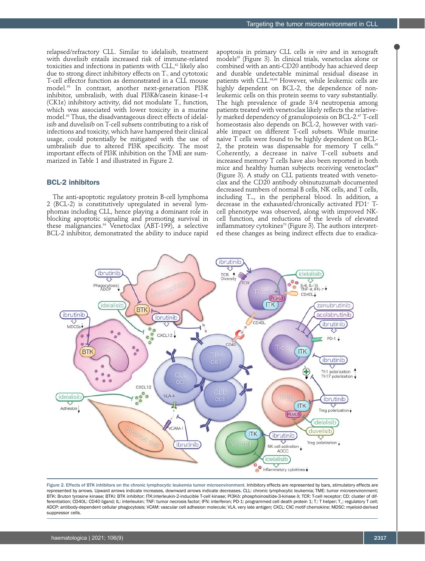relapsed/refractory CLL. Similar to idelalisib, treatment with duvelisib entails increased risk of immune-related toxicities and infections in patients with CLL,<sup>62</sup> likely also due to strong direct inhibitory effects on  $T_{\infty}$  and cytotoxic T-cell effector function as demonstrated in a CLL mouse model.63 In contrast, another next-generation PI3K inhibitor, umbralisib, with dual PI3Kδ/casein kinase-1-e (CK1 $\varepsilon$ ) inhibitory activity, did not modulate  $T_{\varepsilon}$  function, which was associated with lower toxicity in a murine model.63 Thus, the disadvantageous direct effects of idelalisib and duvelisib on T-cell subsets contributing to a risk of infections and toxicity, which have hampered their clinical usage, could potentially be mitigated with the use of umbralisib due to altered PI3K specificity. The most important effects of PI3K inhibition on the TME are summarized in Table 1 and illustrated in Figure 2.

#### BCL-2 inhibitors

The anti-apoptotic regulatory protein B-cell lymphoma 2 (BCL-2) is constitutively upregulated in several lymphomas including CLL, hence playing a dominant role in blocking apoptotic signaling and promoting survival in these malignancies.64 Venetoclax (ABT-199), a selective BCL-2 inhibitor, demonstrated the ability to induce rapid

apoptosis in primary CLL cells *in vitro* and in xenograft models<sup>65</sup> (Figure 3). In clinical trials, venetoclax alone or combined with an anti-CD20 antibody has achieved deep and durable undetectable minimal residual disease in patients with CLL.<sup>64,66</sup> However, while leukemic cells are highly dependent on BCL-2, the dependence of nonleukemic cells on this protein seems to vary substantially. The high prevalence of grade 3/4 neutropenia among patients treated with venetoclax likely reflects the relatively marked dependency of granulopoiesis on BCL-2.<sup>67</sup> T-cell homeostasis also depends on BCL-2, however with variable impact on different T-cell subsets. While murine naïve T cells were found to be highly dependent on BCL-2, the protein was dispensable for memory  $T$  cells.<sup>68</sup> Coherently, a decrease in naïve T-cell subsets and increased memory T cells have also been reported in both mice and healthy human subjects receiving venetoclax<sup>69</sup> (Figure 3). A study on CLL patients treated with venetoclax and the CD20 antibody obinutuzumab documented decreased numbers of normal B cells, NK cells, and T cells, including  $T_{\text{exp}}$ , in the peripheral blood. In addition, a decrease in the exhausted/chronically activated PD1+ Tcell phenotype was observed, along with improved NKcell function, and reductions of the levels of elevated inflammatory cytokines<sup>70</sup> (Figure 3). The authors interpreted these changes as being indirect effects due to eradica-



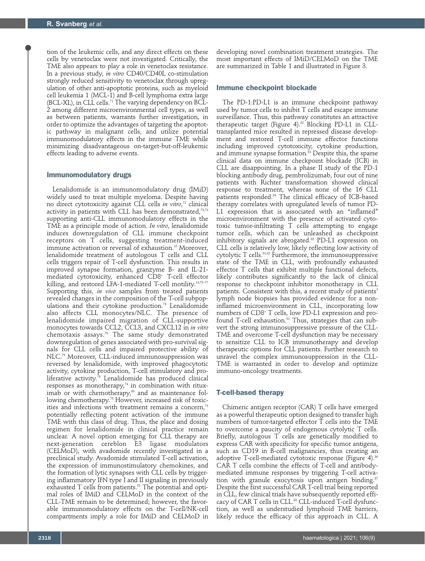tion of the leukemic cells, and any direct effects on these cells by venetoclax were not investigated. Critically, the TME also appears to play a role in venetoclax resistance. In a previous study, *in vitro* CD40/CD40L co-stimulation strongly reduced sensitivity to venetoclax through upregulation of other anti-apoptotic proteins, such as myeloid cell leukemia 1 (MCL-1) and B-cell lymphoma extra large (BCL-XL), in CLL cells.<sup>71</sup> The varying dependency on BCL-2 among different microenvironmental cell types, as well as between patients, warrants further investigation, in order to optimize the advantages of targeting the apoptotic pathway in malignant cells, and utilize potential immunomodulatory effects in the immune TME while minimizing disadvantageous on-target-but-off-leukemic effects leading to adverse events.

#### Immunomodulatory drugs

Lenalidomide is an immunomodulatory drug (IMiD) widely used to treat multiple myeloma. Despite having no direct cytotoxicity against CLL cells *in vitro*, 72 clinical activity in patients with CLL has been demonstrated,<sup>73,74</sup> supporting anti-CLL immunomodulatory effects in the TME as a principle mode of action. *In vitro*, lenalidomide induces downregulation of CLL immune checkpoint receptors on T cells, suggesting treatment-induced immune activation or reversal of exhaustion.<sup>15</sup> Moreover, lenalidomide treatment of autologous T cells and CLL cells triggers repair of T-cell dysfunction. This results in improved synapse formation, granzyme B- and IL-21 mediated cytotoxicity, enhanced CD8+ T-cell effector killing, and restored LFA-1-mediated T-cell motility.<sup>14,75-77</sup> Supporting this, *in vivo* samples from treated patients revealed changes in the composition of the T-cell subpopulations and their cytokine production.78 Lenalidomide also affects CLL monocytes/NLC. The presence of lenalidomide impaired migration of CLL-supportive monocytes towards CCL2, CCL3, and CXCL12 in *in vitro*  chemotaxis assays.79 The same study demonstrated downregulation of genes associated with pro-survival signals for CLL cells and impaired protective ability of NLC.<sup>79</sup> Moreover, CLL-induced immunosuppression was reversed by lenalidomide, with improved phagocytotic activity, cytokine production, T-cell stimulatory and proliferative activity.<sup>79</sup> Lenalidomide has produced clinical responses as monotherapy,<sup>74</sup> in combination with rituximab or with chemotherapy,<sup>80</sup> and as maintenance following chemotherapy.<sup>73</sup> However, increased risk of toxicities and infections with treatment remains a concern,<sup>73</sup> potentially reflecting potent activation of the immune TME with this class of drug. Thus, the place and dosing regimen for lenalidomide in clinical practice remain unclear. A novel option emerging for CLL therapy are next-generation cereblon E3 ligase modulators (CELMoD), with avadomide recently investigated in a preclinical study. Avadomide stimulated T-cell activation, the expression of immunostimulatory chemokines, and the formation of lytic synapses with CLL cells by triggering inflammatory IFN type I and II signaling in previously exhausted  $T$  cells from patients.<sup>81</sup> The potential and optimal roles of IMiD and CELMoD in the context of the CLL-TME remain to be determined; however, the favorable immunomodulatory effects on the T-cell/NK-cell compartments imply a role for IMiD and CELMoD in

developing novel combination treatment strategies. The most important effects of IMiD/CELMoD on the TME are summarized in Table 1 and illustrated in Figure 3.

#### Immune checkpoint blockade

The PD-1:PD-L1 is an immune checkpoint pathway used by tumor cells to inhibit T cells and escape immune surveillance. Thus, this pathway constitutes an attractive therapeutic target (Figure 4). $82$  Blocking PD-L1 in CLLtransplanted mice resulted in repressed disease development and restored T-cell immune effector functions including improved cytotoxicity, cytokine production, and immune synapse formation.<sup>83</sup> Despite this, the sparse clinical data on immune checkpoint blockade (ICB) in CLL are disappointing. In a phase II study of the PD-1 blocking antibody drug, pembrolizumab, four out of nine patients with Richter transformation showed clinical response to treatment, whereas none of the 16 CLL patients responded.84 The clinical efficacy of ICB-based therapy correlates with upregulated levels of tumor PD-L1 expression that is associated with an "inflamed" microenvironment with the presence of activated cytotoxic tumor-infiltrating T cells attempting to engage tumor cells, which can be unleashed as checkpoint inhibitory signals are abrogated.<sup>85</sup> PD-L1 expression on CLL cells is relatively low, likely reflecting low activity of cytolytic  $T$  cells.<sup>81,82</sup> Furthermore, the immunosuppressive state of the TME in CLL, with profoundly exhausted effector T cells that exhibit multiple functional defects, likely contributes significantly to the lack of clinical response to checkpoint inhibitor monotherapy in CLL patients. Consistent with this, a recent study of patients' lymph node biopsies has provided evidence for a noninflamed microenvironment in CLL, incorporating low numbers of CD8+ T cells, low PD-L1 expression and profound T-cell exhaustion.<sup>81</sup> Thus, strategies that can subvert the strong immunosuppressive pressure of the CLL-TME and overcome T-cell dysfunction may be necessary to sensitize CLL to ICB immunotherapy and develop therapeutic options for CLL patients. Further research to unravel the complex immunosuppression in the CLL-TME is warranted in order to develop and optimize immuno-oncology treatments.

#### T-cell-based therapy

Chimeric antigen receptor (CAR) T cells have emerged as a powerful therapeutic option designed to transfer high numbers of tumor-targeted effector T cells into the TME to overcome a paucity of endogenous cytolytic T cells. Briefly, autologous T cells are genetically modified to express CAR with specificity for specific tumor antigens, such as CD19 in B-cell malignancies, thus creating an adoptive T-cell-mediated cytotoxic response (Figure 4).<sup>86</sup> CAR T cells combine the effects of T-cell and antibodymediated immune responses by triggering T-cell activation with granule exocytosis upon antigen binding. $87$ Despite the first successful CAR T-cell trial being reported in CLL, few clinical trials have subsequently reported efficacy of CAR T cells in CLL.<sup>88</sup> CLL-induced T-cell dysfunction, as well as understudied lymphoid TME barriers, likely reduce the efficacy of this approach in CLL. A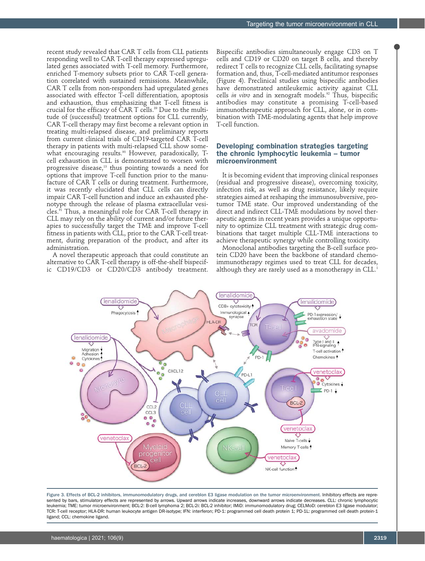recent study revealed that CAR T cells from CLL patients responding well to CAR T-cell therapy expressed upregulated genes associated with T-cell memory. Furthermore, enriched T-memory subsets prior to CAR T-cell generation correlated with sustained remissions. Meanwhile, CAR T cells from non-responders had upregulated genes associated with effector T-cell differentiation, apoptosis and exhaustion, thus emphasizing that T-cell fitness is crucial for the efficacy of CAR  $T$  cells.<sup>89</sup> Due to the multitude of (successful) treatment options for CLL currently, CAR T-cell therapy may first become a relevant option in treating multi-relapsed disease, and preliminary reports from current clinical trials of CD19-targeted CAR T-cell therapy in patients with multi-relapsed CLL show somewhat encouraging results.<sup>90</sup> However, paradoxically, Tcell exhaustion in CLL is demonstrated to worsen with progressive disease,13 thus pointing towards a need for options that improve T-cell function prior to the manufacture of CAR T cells or during treatment. Furthermore, it was recently elucidated that CLL cells can directly impair CAR T-cell function and induce an exhausted phenotype through the release of plasma extracellular vesicles.91 Thus, a meaningful role for CAR T-cell therapy in CLL may rely on the ability of current and/or future therapies to successfully target the TME and improve T-cell fitness in patients with CLL, prior to the CAR T-cell treatment, during preparation of the product, and after its administration.

A novel therapeutic approach that could constitute an alternative to CAR T-cell therapy is off-the-shelf bispecific CD19/CD3 or CD20/CD3 antibody treatment. Bispecific antibodies simultaneously engage CD3 on T cells and CD19 or CD20 on target B cells, and thereby redirect T cells to recognize CLL cells, facilitating synapse formation and, thus, T-cell-mediated antitumor responses (Figure 4). Preclinical studies using bispecific antibodies have demonstrated antileukemic activity against CLL cells *in vitro* and in xenograft models.<sup>92</sup> Thus, bispecific antibodies may constitute a promising T-cell-based immunotherapeutic approach for CLL, alone, or in combination with TME-modulating agents that help improve T-cell function.

## Developing combination strategies targeting the chronic lymphocytic leukemia – tumor microenvironment

It is becoming evident that improving clinical responses (residual and progressive disease), overcoming toxicity, infection risk, as well as drug resistance, likely require strategies aimed at reshaping the immunosubversive, protumor TME state. Our improved understanding of the direct and indirect CLL-TME modulations by novel therapeutic agents in recent years provides a unique opportunity to optimize CLL treatment with strategic drug combinations that target multiple CLL-TME interactions to achieve therapeutic synergy while controlling toxicity.

Monoclonal antibodies targeting the B-cell surface protein CD20 have been the backbone of standard chemoimmunotherapy regimes used to treat CLL for decades, although they are rarely used as a monotherapy in CLL.<sup>1</sup>



Figure 3. Effects of BCL-2 inhibitors, immunomodulatory drugs, and cereblon E3 ligase modulation on the tumor microenvironment. Inhibitory effects are represented by bars, stimulatory effects are represented by arrows. Upward arrows indicate increases, downward arrows indicate decreases. CLL: chronic lymphocytic leukemia; TME: tumor microenvironment; BCL-2: B-cell lymphoma 2; BCL-2i: BCL-2 inhibitor; IMiD: immunomodulatory drug; CELMoD: cereblon E3 ligase modulator; TCR: T-cell receptor; HLA-DR: human leukocyte antigen DR-isotype; IFN: interferon; PD-1: programmed cell death protein 1; PD-1L: programmed cell death protein-1 ligand; CCL: chemokine ligand.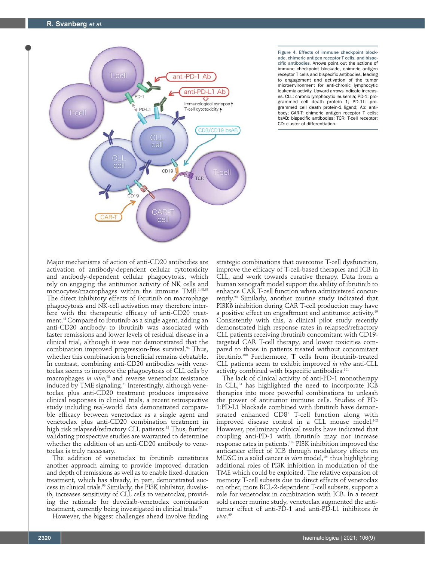

#### Figure 4. Effects of immune checkpoint blockade, chimeric antigen receptor T cells, and bispecific antibodies. Arrows point out the actions of immune checkpoint blockade, chimeric antigen receptor T cells and bispecific antibodies, leading to engagement and activation of the tumor microenvironment for anti-chronic lymphocytic leukemia activity. Upward arrows indicate increases. CLL: chronic lymphocytic leukemia; PD-1: programmed cell death protein 1; PD-1L: programmed cell death protein-1 ligand; Ab: antibody; CAR-T: chimeric antigen receptor T cells; bsAB: bispecific antibodies; TCR: T-cell receptor; CD: cluster of differentiation.

Major mechanisms of action of anti-CD20 antibodies are activation of antibody-dependent cellular cytotoxicity and antibody-dependent cellular phagocytosis, which rely on engaging the antitumor activity of NK cells and monocytes/macrophages within the immune TME.1,48,93 The direct inhibitory effects of ibrutinib on macrophage phagocytosis and NK-cell activation may therefore interfere with the therapeutic efficacy of anti-CD20 treatment.48 Compared to ibrutinib as a single agent, adding an anti-CD20 antibody to ibrutinib was associated with faster remissions and lower levels of residual disease in a clinical trial, although it was not demonstrated that the combination improved progression-free survival.<sup>94</sup> Thus, whether this combination is beneficial remains debatable. In contrast, combining anti-CD20 antibodies with venetoclax seems to improve the phagocytosis of CLL cells by macrophages *in vitro*, 93 and reverse venetoclax resistance induced by TME signaling.<sup>71</sup> Interestingly, although venetoclax plus anti-CD20 treatment produces impressive clinical responses in clinical trials, a recent retrospective study including real-world data demonstrated comparable efficacy between venetoclax as a single agent and venetoclax plus anti-CD20 combination treatment in high risk relapsed/refractory CLL patients.<sup>95</sup> Thus, further validating prospective studies are warranted to determine whether the addition of an anti-CD20 antibody to venetoclax is truly necessary.

The addition of venetoclax to ibrutinib constitutes another approach aiming to provide improved duration and depth of remissions as well as to enable fixed-duration treatment, which has already, in part, demonstrated success in clinical trials.96 Similarly, the PI3K inhibitor, duvelisib, increases sensitivity of CLL cells to venetoclax, providing the rationale for duvelisib-venetoclax combination treatment, currently being investigated in clinical trials.<sup>97</sup>

However, the biggest challenges ahead involve finding

strategic combinations that overcome T-cell dysfunction, improve the efficacy of T-cell-based therapies and ICB in CLL, and work towards curative therapy. Data from a human xenograft model support the ability of ibrutinib to enhance CAR T-cell function when administered concurrently.98 Similarly, another murine study indicated that PI3Kδ inhibition during CAR T-cell production may have a positive effect on engraftment and antitumor activity.<sup>99</sup> Consistently with this, a clinical pilot study recently demonstrated high response rates in relapsed/refractory CLL patients receiving ibrutinib concomitant with CD19 targeted CAR T-cell therapy, and lower toxicities compared to those in patients treated without concomitant ibrutinib.100 Furthermore, T cells from ibrutinib-treated CLL patients seem to exhibit improved *in vitro* anti-CLL activity combined with bispecific antibodies.<sup>101</sup>

The lack of clinical activity of anti-PD-1 monotherapy in CLL, $84$  has highlighted the need to incorporate ICB therapies into more powerful combinations to unleash the power of antitumor immune cells. Studies of PD-1:PD-L1 blockade combined with ibrutinib have demonstrated enhanced CD8+ T-cell function along with improved disease control in a CLL mouse model.102 However, preliminary clinical results have indicated that coupling anti-PD-1 with ibrutinib may not increase response rates in patients.103 PI3K inhibition improved the anticancer effect of ICB through modulatory effects on MDSC in a solid cancer *in vitro* model,<sup>104</sup> thus highlighting additional roles of PI3K inhibition in modulation of the TME which could be exploited. The relative expansion of memory T-cell subsets due to direct effects of venetoclax on other, more BCL-2-dependent T-cell subsets, support a role for venetoclax in combination with ICB. In a recent sold cancer murine study, venetoclax augmented the antitumor effect of anti-PD-1 and anti-PD-L1 inhibitors *in vivo*. 69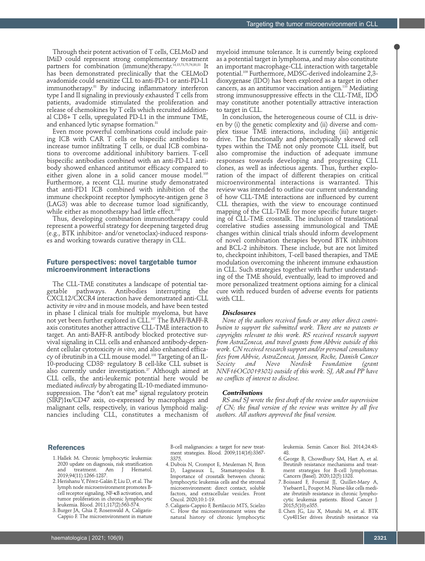Through their potent activation of T cells, CELMoD and IMiD could represent strong complementary treatment partners for combination (immune)therapy.14,15,73,75,76,80,81 It has been demonstrated preclinically that the CELMoD avadomide could sensitize CLL to anti-PD-1 or anti-PD-L1 immunotherapy.81 By inducing inflammatory interferon type I and II signaling in previously exhausted T cells from patients, avadomide stimulated the proliferation and release of chemokines by T cells which recruited additional CD8+ T cells, upregulated PD-L1 in the immune TME, and enhanced lytic synapse formation.<sup>81</sup>

Even more powerful combinations could include pairing ICB with CAR T cells or bispecific antibodies to increase tumor infiltrating T cells, or dual ICB combinations to overcome additional inhibitory barriers. T-cell bispecific antibodies combined with an anti-PD-L1 antibody showed enhanced antitumor efficacy compared to either given alone in a solid cancer mouse model.105 Furthermore, a recent CLL murine study demonstrated that anti-PD1 ICB combined with inhibition of the immune checkpoint receptor lymphocyte-antigen gene 3 (LAG3) was able to decrease tumor load significantly, while either as monotherapy had little effect.<sup>10</sup>

Thus, developing combination immunotherapy could represent a powerful strategy for deepening targeted drug (e.g., BTK inhibitor- and/or venetoclax)-induced responses and working towards curative therapy in CLL.

### Future perspectives: novel targetable tumor microenvironment interactions

The CLL-TME constitutes a landscape of potential targetable pathways. Antibodies interrupting the CXCL12/CXCR4 interaction have demonstrated anti-CLL activity *in vitro* and in mouse models, and have been tested in phase I clinical trials for multiple myeloma, but have not yet been further explored in CLL.<sup>107</sup> The BAFF/BAFF-R axis constitutes another attractive CLL-TME interaction to target. An anti-BAFF-R antibody blocked protective survival signaling in CLL cells and enhanced antibody-dependent cellular cytotoxicity *in vitro*, and also enhanced efficacy of ibrutinib in a CLL mouse model.<sup>108</sup> Targeting of an IL-10-producing  $CD38^{\omega}$  regulatory B cell-like CLL subset is also currently under investigation. $27$  Although aimed at CLL cells, the anti-leukemic potential here would be mediated *indirectly* by abrogating IL-10-mediated immunosuppression. The "don't eat me" signal regulatory protein (SIRP)1α/CD47 axis, co-expressed by macrophages and malignant cells, respectively, in various lymphoid malignancies including CLL, constitutes a mechanism of myeloid immune tolerance. It is currently being explored as a potential target in lymphoma, and may also constitute an important macrophage-CLL interaction with targetable potential.109 Furthermore, MDSC-derived indoleamine 2,3 dioxygenase (IDO) has been explored as a target in other cancers, as an antitumor vaccination antigen.<sup>110</sup> Mediating strong immunosuppressive effects in the CLL-TME, IDO may constitute another potentially attractive interaction to target in CLL.

In conclusion, the heterogeneous course of CLL is driven by (i) the genetic complexity and (ii) diverse and complex tissue TME interactions, including (iii) antigenic drive. The functionally and phenotypically skewed cell types within the TME not only promote CLL itself, but also compromise the induction of adequate immune responses towards developing and progressing CLL clones, as well as infectious agents. Thus, further exploration of the impact of different therapies on critical microenvironmental interactions is warranted. This review was intended to outline our current understanding of how CLL-TME interactions are influenced by current CLL therapies, with the view to encourage continued mapping of the CLL-TME for more specific future targeting of CLL-TME crosstalk. The inclusion of translational correlative studies assessing immunological and TME changes within clinical trials should inform development of novel combination therapies beyond BTK inhibitors and BCL-2 inhibitors. These include, but are not limited to, checkpoint inhibitors, T-cell based therapies, and TME modulation overcoming the inherent immune exhaustion in CLL. Such strategies together with further understanding of the TME should, eventually, lead to improved and more personalized treatment options aiming for a clinical cure with reduced burden of adverse events for patients with CLL.

#### *Disclosures*

*None of the authors received funds or any other direct contribution to support the submitted work. There are no patents or copyrights relevant to this work. RS received research support from AstraZeneca, and travel grants from Abbvie outside of this work. CN received research support and/or personal consultancy fees from Abbvie, AstraZeneca, Janssen, Roche, Danish Cancer Society and Novo Nordisk Foundation (grant NNF16OC0019302) outside of this work. SJ, AR and PP have no conflicts of interest to disclose.* 

#### *Contributions*

*RS and SJ wrote the first draft of the review under supervision of CN; the final version of the review was written by all five authors. All authors approved the final version.* 

#### References

- 1. Hallek M. Chronic lymphocytic leukemia: 2020 update on diagnosis, risk stratification and treatment. Am J Hematol. 2019;94(11):1266-1287.
- 2. Herishanu Y, Pérez-Galán P, Liu D, et al. The lymph node microenvironment promotes Bcell receptor signaling, NF-κB activation, and tumor proliferation in chronic lymphocytic leukemia. Blood. 2011;117(2):563-574.
- 3. Burger JA, Ghia P, Rosenwald A, Caligaris-Cappio F. The microenvironment in mature

B-cell malignancies: a target for new treatment strategies. Blood. 2009;114(16):3367- 3375.

- 4. Dubois N, Crompot E, Meuleman N, Bron D, Lagneaux L, Stamatopoulos B. Importance of crosstalk between chronic lymphocytic leukemia cells and the stromal microenvironment: direct contact, soluble factors, and extracellular vesicles. Front Oncol. 2020;10:1-19.
- 5. Caligaris-Cappio F, Bertilaccio MTS, Scielzo C. How the microenvironment wires the natural history of chronic lymphocytic

leukemia. Semin Cancer Biol. 2014;24:43- 48.

- 6. George B, Chowdhury SM, Hart A, et al. Ibrutinib resistance mechanisms and treatment strategies for B-cell lymphomas. Cancers (Basel). 2020;12(5):1328.
- 7. Boissard F, Fournié JJ, Quillet-Mary A, Ysebaert L, Poupot M. Nurse-like cells mediate ibrutinib resistance in chronic lymphocytic leukemia patients. Blood Cancer J. 2015;5(10):e355.
- 8. Chen JG, Liu X, Munshi M, et al. BTK Cys481Ser drives ibrutinib resistance via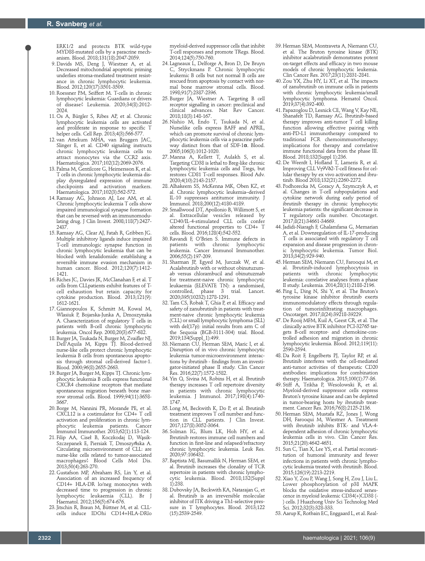ERK1/2 and protects BTK wild-type MYD88-mutated cells by a paracrine mechanism. Blood. 2018;131(18):2047-2059.

- 9. Davids MS, Deng J, Wiestner A, et al. Decreased mitochondrial apoptotic priming underlies stroma-mediated treatment resistance in chronic lymphocytic leukemia. Blood. 2012;120(17):3501-3509.
- 10. Roessner PM, Seiffert M. T-cells in chronic lymphocytic leukemia: Guardians or drivers of disease? Leukemia. 2020;34(8):2012- 2024.
- 11. Os A, Bürgler S, Ribes AP, et al. Chronic lymphocytic leukemia cells are activated and proliferate in response to specific T helper cells. Cell Rep. 2013;4(3):566-577.
- 12. van Attekum MHA, van Bruggen JAC, Slinger E, et al. CD40 signaling instructs chronic lymphocytic leukemia cells to attract monocytes via the CCR2 axis. Haematologica. 2017;102(12):2069-2076.
- 13. Palma M, Gentilcore G, Heimersson K, et al. T cells in chronic lymphocytic leukemia display dysregulated expression of immune checkpoints and activation markers. Haematologica. 2017;102(3):562-572.
- 14. Ramsay AG, Johnson AJ, Lee AM, et al. Chronic lymphocytic leukemia T cells show impaired immunological synapse formation that can be reversed with an immunomodulating drug. J Clin Invest. 2008;118(7):2427- 2437.
- 15. Ramsay AG, Clear AJ, Fatah R, Gribben JG. Multiple inhibitory ligands induce impaired T-cell immunologic synapse function in chronic lymphocytic leukemia that can be blocked with lenalidomide: establishing a reversible immune evasion mechanism in human cancer. Blood. 2012;120(7):1412- 1421.
- 16. Riches JC, Davies JK, McClanahan F, et al. T cells from CLLpatients exhibit features of Tcell exhaustion but retain capacity for cytokine production. Blood. 2013;121(9): 1612-1621.
- 17. Giannopoulos K, Schmitt M, Kowal M, Wlasiuk P, Bojarska-Junka A, Dmoszynska A. Characterization of regulatory T cells in patients with B-cell chronic lymphocytic leukemia. Oncol Rep. 2008;20(3):677-682.
- 18. Burger JA, Tsukada N, Burger M, Zvaifler NJ, Dell'Aquila M, Kipps TJ. Blood-derived nurse-like cells protect chronic lymphocytic leukemia B cells from spontaneous apoptosis through stromal cell-derived factor-1. Blood. 2000;96(8):2655-2663.
- 19. Burger JA, Burger M, Kipps TJ. Chronic lymphocytic leukemia B cells express functional CXCR4 chemokine receptors that mediate spontaneous migration beneath bone marrow stromal cells. Blood. 1999;94(11):3658- 3667.
- 20. Borge M, Nannini PR, Morande PE, et al. CXCL12 is a costimulator for CD4+ T cell activation and proliferation in chronic lymphocytic leukemia patients. Cancer Immunol Immunother. 2013;62(1):113-124.
- 21. Filip AA, Ciseł B, Koczkodaj D, Wąsik-Szczepanek E, Piersiak T, Dmoszyńska A. Circulating microenvironment of CLL: are nurse-like cells related to tumor-associated macrophages? Blood Cells Mol Dis. 2013;50(4):263-270.
- 22. Gustafson MP, Abraham RS, Lin Y, et al. Association of an increased frequency of CD14+ HLA-DR lo/neg monocytes with decreased time to progression in chronic lymphocytic leukaemia (CLL). Br J Haematol. 2012;156(5):674-676.
- 23. Jitschin R, Braun M, Büttner M, et al. CLLcells induce IDOhi CD14+HLA-DRlo

myeloid-derived suppressor cells that inhibit T-cell responses and promote TRegs. Blood. 2014;124(5):750-760.

- 24. Lagneaux L, Delforge A, Bron D, De Bruyn C, Stryckmans P. Chronic lymphocytic leukemic B cells but not normal B cells are rescued from apoptosis by contact with normal bone marrow stromal cells. Blood. 1998;91(7):2387-2396.
- 25. Burger JA, Wiestner A. Targeting B cell receptor signalling in cancer: preclinical and clinical advances. Nat Rev Cancer. 2018;18(3):148-167.
- 26. Nishio M, Endo T, Tsukada N, et al. Nurselike cells express BAFF and APRIL, which can promote survival of chronic lymphocytic leukemia cells via a paracrine pathway distinct from that of SDF-1α. Blood. 2005;106(3):1012-1020.
- 27. Manna A, Kellett T, Aulakh S, et al. Targeting CD38 is lethal to Breg-like chronic lymphocytic leukemia cells and Tregs, but restores CD81 T-cell responses. Blood Adv. 2020;4(10):2143-2157.
- 28. Alhakeem SS, McKenna MK, Oben KZ, et al. Chronic lymphocytic leukemia–derived IL-10 suppresses antitumor immunity. J Immunol. 2018;200(12):4180-4189.
- 29. Smallwood DT, Apollonio B, Willimott S, et al. Extracellular vesicles released by CD40/IL-4-stimulated CLL cells confer altered functional properties to CD4+ T cells. Blood. 2016;128(4):542-552.
- 30. Ravandi F, O'Brien S. Immune defects in patients with chronic leukemia. Cancer Immunol Immunother. 2006;55(2):197-209.
- 31. Sharman JP, Egyed M, Jurczak W, et al. Acalabrutinib with or without obinutuzumab versus chlorambucil and obinutuzmab for treatment-naive chronic lymphocytic leukaemia (ELEVATE TN): a randomised, phase 3 2020;395(10232):1278-1291.
- 32. Tam CS, Robak T, Ghia P, et al. Efficacy and safety of zanubrutinib in patients with treatment-naive chronic lymphocytic leukemia (CLL) or small lymphocytic lymphoma (SLL) with del(17p): initial results from arm C of the Sequoia (BGB-3111-304) trial. Blood. 2019;134(Suppl\_1):499.
- 33. Niemann CU, Herman SEM, Maric I, et al. Disruption of in vivo chronic lymphocytic leukemia tumor-microenvironment interactions by ibrutinib - findings from an investigator-initiated phase II study. Clin Cancer Res. 2016;22(7):1572-1582.
- 34. Yin Q, Sivina M, Robins H, et al. Ibrutinib therapy increases T cell repertoire diversity in patients with chronic lymphocytic leukemia. J Immunol. 2017;198(4):1740- 1747.
- 35. Long M, Beckwith K, Do P, et al. Ibrutinib treatment improves T cell number and function in CLL patients. J Clin Invest. 2017;127(8):3052-3064.
- 36. Solman IG, Blum LK, Hoh HY, et al. Ibrutinib restores immune cell numbers and function in first-line and relapsed/refractory chronic lymphocytic leukemia. Leuk Res. 2020;97:106432.
- 37. Baptista MJ, Basumallik N, Herman SEM, et al. Ibrutinib increases the clonality of TCR repertoire in patients with chronic lymphocytic leukemia. Blood. 2018;132(Suppl 1):238.
- 38. Dubovsky JA, Beckwith KA, Natarajan G, et al. Ibrutinib is an irreversible molecular inhibitor of ITK driving a Th1-selective pressure in T lymphocytes. Blood. 2013;122 (15):2539-2549.
- 39. Herman SEM, Montraveta A, Niemann CU, et al. The Bruton tyrosine kinase (BTK) inhibitor acalabrutinib demonstrates potent on-target effects and efficacy in two mouse models of chronic lymphocytic leukemia. Clin Cancer Res. 2017;23(11):2831-2841.
- 40. Zou YX, Zhu HY, Li XT, et al. The impacts of zanubrutinib on immune cells in patients with chronic lymphocytic leukemia/small lymphocytic lymphoma. Hematol Oncol. 2019;37(4):392-400.
- 41. Papazoglou D, Lesnick CE, Wang V, Kay NE, Shanafelt TD, Ramsay AG. Ibrutinib-based therapy improves anti-tumor T cell killing function allowing effective pairing with anti-PD-L1 immunotherapy compared to traditional FCR chemoimmunotherapy; implications for therapy and correlative immune functional data from the phase III. Blood. 2018;132(Suppl 1):236.
- 42. De Weerdt I, Hofland T, Lameris R, et al. Improving CLL Vγ9Vδ2-T-cell fitness for cellular therapy by ex vivo activation and ibrutinib. Blood 2018;132(21):2260-2272.
- 43. Podhorecka M, Goracy A, Szymczyk A, et al. Changes in T-cell subpopulations and cytokine network during early period of ibrutinib therapy in chronic lymphocytic leukemia patients: the significant decrease in T regulatory cells number. Oncotarget. 2017;8(21):34661-34669.
- 44. Jadidi-Niaragh F, Ghalamfarsa G, Memarian A, et al. Downregulation of IL-17-producing T cells is associated with regulatory T cell expansion and disease progression in chronic lymphocytic leukemia. Tumor Biol. 2013;34(2):929-940.
- 45. Herman SEM, Niemann CU, Farooqui M, et al. Ibrutinib-induced lymphocytosis in patients with chronic lymphocytic leukemia: correlative analyses from a phase II study. Leukemia. 2014;28(11):2188-2196.
- 46. Ping L, Ding N, Shi Y, et al. The Bruton's tyrosine kinase inhibitor ibrutinib exerts immunomodulatory effects through regulation of tumorinfiltrating macrophages. Oncotarget. 2017;8(24):39218-39229.
- 47. De Rooij MFM, Kuil A, Geest CR, et al. The clinically active BTK inhibitor PCI-32765 targets B-cell receptor- and chemokine-controlled adhesion and migration in chronic lymphocytic leukemia. Blood. 2012;119(11): 2590-2594.
- 48. Da Roit F, Engelberts PJ, Taylor RP, et al. Ibrutinib interferes with the cell-mediated anti-tumor activities of therapeutic CD20 antibodies: implications for combination therapy. Haematologica. 2015;100(1):77-86.
- 49. Stiff A, Trikha P, Wesolowski R, et al. Myeloid-derived suppressor cells express Bruton's tyrosine kinase and can be depleted in tumor-bearing hosts by ibrutinib treatment. Cancer Res. 2016;76(8):2125-2136.
- 50. Herman SEM, Mustafa RZ, Jones J, Wong DH, Farooqui M, Wiestner A. Treatment with ibrutinib inhibits BTK- and VLA-4 dependent adhesion of chronic lymphocytic leukemia cells in vivo. Clin Cancer Res. 2015;21(20):4642-4651.
- 51. Sun C, Tian X, Lee YS, et al. Partial reconstitution of humoral immunity and fewer infections in patients with chronic lymphocytic leukemia treated with ibrutinib. Blood. 2015;126(19):2213-2219.
- 52. Xiao Y, Zou P, Wang J, Song H, Zou J, Liu L. Lower phosphorylation of p38 MAPK blocks the oxidative stress-induced senescence in myeloid leukemic CD34(+)CD38 (- ) cells. J Huazhong Univ Sci Technolog Med Sci. 2012;32(3):328-333.
- 53. Aarup K, Rotbain EC, Enggaard L, et al. Real-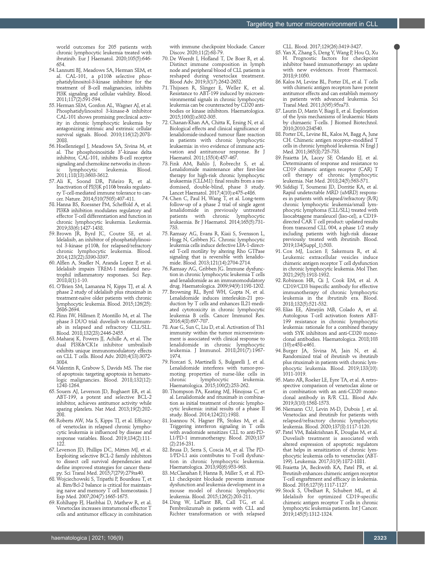world outcomes for 205 patients with chronic lymphocytic leukemia treated with ibrutinib. Eur J Haematol. 2020;105(5):646- 654.

- 54. Lannutti BJ, Meadows SA, Herman SEM, et al. CAL-101, a p110δ selective phosphatidylinositol-3-kinase inhibitor for the treatment of B-cell malignancies, inhibits PI3K signaling and cellular viability. Blood. 2011;117(2):591-594.
- 55. Herman SEM, Gordon AL, Wagner AJ, et al. Phosphatidylinositol 3-kinase-δ inhibitor CAL-101 shows promising preclinical activity in chronic lymphocytic leukemia by antagonizing intrinsic and extrinsic cellular survival signals. Blood. 2010;116(12):2078- 2088.
- 56. Hoellenriegel J, Meadows SA, Sivina M, et al. The phosphoinositide 3′-kinase delta inhibitor, CAL-101, inhibits B-cell receptor signaling and chemokine networks in chron-<br>ic lymphocytic leukemia. Blood. lymphocytic 2011;118(13):3603-3612.
- 57. Ali K, Soond DR, Piñeiro R, et al. Inactivation of PI(3)K p110δ breaks regulatory T-cell-mediated immune tolerance to cancer. Nature. 2014;510(7505):407-411.
- 58. Hanna BS, Roessner PM, Scheffold A, et al. PI3Kδ inhibition modulates regulatory and effector T-cell differentiation and function in chronic lymphocytic leukemia. Leukemia. 2019;33(6):1427-1438.
- 59. Brown JR, Byrd JC, Coutre SE, et al. Idelalisib, an inhibitor of phosphatidylinositol 3-kinase p110δ, for relapsed/refractory chronic lymphocytic leukemia. Blood. 2014;123(22):3390-3397.
- 60. Alflen A, Stadler N, Aranda Lopez P, et al. Idelalisib impairs TREM-1 mediated neutrophil inflammatory responses. Sci Rep. 2018;8(1):1-10.
- 61. O'Brien SM, Lamanna N, Kipps TJ, et al. A phase 2 study of idelalisib plus rituximab in treatment-naïve older patients with chronic lymphocytic leukemia. Blood. 2015;126(25): 2686-2694.
- 62. Flinn IW, Hillmen P, Montillo M, et al. The phase 3 DUO trial: duvelisib vs ofatumumab in relapsed and refractory CLL/SLL. Blood. 2018;132(23):2446-2455.
- 63. Maharaj K, Powers JJ, Achille A, et al. The dual PI3Kδ/CK1e inhibitor umbralisib exhibits unique immunomodulatory effects on CLL T cells. Blood Adv. 2020;4(13):3072- 3084.
- 64. Valentin R, Grabow S, Davids MS. The rise of apoptosis: targeting apoptosis in hematologic malignancies. Blood. 2018;132(12): 1248-1264.
- 65. Souers AJ, Leverson JD, Boghaert ER, et al. ABT-199, a potent and selective BCL-2 inhibitor, achieves antitumor activity while sparing platelets. Nat Med. 2013;19(2):202- 208.
- 66. Roberts AW, Ma S, Kipps TJ, et al. Efficacy of venetoclax in relapsed chronic lymphocytic leukemia is influenced by disease and response variables. Blood. 2019;134(2):111-  $122$
- 67. Leverson JD, Phillips DC, Mitten MJ, et al. Exploiting selective BCL-2 family inhibitors to dissect cell survival dependencies and define improved strategies for cancer therapy. Sci Transl Med. 2015;7(279):279ra40.
- 68. Wojciechowski S, Tripathi P, Bourdeau T, et al. Bim/Bcl-2 balance is critical for maintaining naive and memory T cell homeostasis. J Exp Med. 2007;204(7):1665-1675.
- 69. Kohlhapp FJ, Haribhai D, Mathew R, et al. Venetoclax increases intratumoral effector T cells and antitumor efficacy in combination

with immune checkpoint blockade. Cancer Discov. 2020;11(2):68-79.

- 70. De Weerdt I, Hofland T, De Boer R, et al. Distinct immune composition in lymph node and peripheral blood of CLL patients is reshaped during venetoclax treatment. Blood Adv. 2019;3(17):2642-2652.
- 71. Thijssen R, Slinger E, Weller K, et al. Resistance to ABT-199 induced by microenvironmental signals in chronic lymphocytic leukemia can be counteracted by CD20 antibodies or kinase inhibitors. Haematologica. 2015;100(8):e302-305.
- 72. Chanan-Khan AA, Chitta K, Ersing N, et al. Biological effects and clinical significance of lenalidomide-induced tumour flare reaction in patients with chronic lymphocytic leukaemia: in vivo evidence of immune activation and antitumour response. Br J Haematol. 2011;155(4):457-467.
- 73. Fink AM, Bahlo J, Robrecht S, et al. Lenalidomide maintenance after first-line therapy for high-risk chronic lymphocytic leukaemia (CLLM1): final results from a randomised, double-blind, phase 3 study. Lancet Haematol. 2017;4(10):e475-e486.
- 74. Chen C, Paul H, Wang T, et al. Long-term follow-up of a phase 2 trial of single agent lenalidomide in previously untreated<br>patients with chronic lymphocytic patients with chronic leukaemia. Br J Haematol. 2014;165(5):731- 733.
- 75. Ramsay AG, Evans R, Kiaii S, Svensson L, Hogg N, Gribben JG. Chronic lymphocytic leukemia cells induce defective LFA-1-directed T-cell motility by altering Rho GTPase signaling that is reversible with lenalidomide. Blood. 2013;121(14):2704-2714.
- 76. Ramsay AG, Gribben JG. Immune dysfunction in chronic lymphocytic leukemia T cells and lenalidomide as an immunomodulatory drug. Haematologica. 2009;94(9):1198-1202.
- 77. Browning RL, Byrd WH, Gupta N, et al. Lenalidomide induces interleukin-21 production by T cells and enhances IL21-mediated cytotoxicity in chronic lymphocytic leukemia B cells. Cancer Immunol Res. 2016;4(8):697-707.
- 78. Aue G, Sun C, Liu D, et al. Activation of Th1 immunity within the tumor microenvironment is associated with clinical response to lenalidomide in chronic lymphocytic leukemia. J Immunol. 2018;201(7):1967- 1974.
- 79. Fiorcari S, Martinelli S, Bulgarelli J, et al. Lenalidomide interferes with tumor-promoting properties of nurse-like cells in<br>
chronic lymphocytic leukemia lymphocytic Haematologica. 2015;100(2):253-262.
- 80. Thompson PA, Keating MJ, Hinojosa C, et al. Lenalidomide and rituximab in combination as initial treatment of chronic lymphocytic leukemia: initial results of a phase II study. Blood. 2014;124(21):1988.
- 81. Ioannou N, Hagner PR, Stokes M, et al. Triggering interferon signaling in T cells with avadomide sensitizes CLL to anti-PD-L1/PD-1 immunotherapy. Blood. 2020;137 (2):216-231.
- 82. Brusa D, Serra S, Coscia M, et al. The PD-1/PD-L1 axis contributes to T-cell dysfunction in chronic lymphocytic leukemia. Haematologica. 2013;98(6):953-963.
- 83. McClanahan F, Hanna B, Miller S, et al. PD-L1 checkpoint blockade prevents immune dysfunction and leukemia development in a mouse model of chronic lymphocytic leukemia. Blood. 2015;126(2):203-211.
- 84. Ding W, LaPlant BR, Call TG, et al. Pembrolizumab in patients with CLL and Richter transformation or with relapsed

CLL. Blood. 2017;129(26):3419-3427.

- 85. Yan X, Zhang S, Deng Y, Wang P, Hou Q, Xu H. Prognostic factors for checkpoint inhibitor based immunotherapy: an update with new evidences. Front Pharmacol. 2018;9:1050.
- 86. Kalos M, Levine BL, Porter DL, et al. T cells with chimeric antigen receptors have potent antitumor effects and can establish memory in patients with advanced leukemia. Sci Transl Med. 2011;3(95):95ra73.
- 87. Laurin D, Marin V, Biagi E, et al. Exploration of the lysis mechanisms of leukaemic blasts by chimaeric T-cells. J Biomed Biotechnol. 2010;2010:234540.
- 88. Porter DL, Levine BL, Kalos M, Bagg A, June CH. Chimeric antigen receptor–modified T cells in chronic lymphoid leukemia. N Engl J Med. 2011;365(8):725-733.
- 89. Fraietta JA, Lacey SF, Orlando EJ, et al. Determinants of response and resistance to CD19 chimeric antigen receptor (CAR) T cell therapy of chronic lymphocytic leukemia. Nat Med. 2018;24(5):563-571.
- 90. Siddiqi T, Soumerai JD, Dorritie KA, et al. Rapid undetectable MRD (uMRD) responses in patients with relapsed/refractory (R/R) chronic lymphocytic leukemia/small lymphocytic lymphoma (CLL/SLL) treated with lisocabtagene maraleucel (liso-cel), a CD19 directed CAR T cell product: updated results from transcend CLL 004, a phase 1/2 study including patients with high-risk disease previously treated with ibrutinib. Blood. 2019;134(Suppl\_1):503.
- 91. Cox MJ, Lucien F, Sakemura R, et al. Leukemic extracellular vesicles induce chimeric antigen receptor T cell dysfunction in chronic lymphocytic leukemia. Mol Ther. 2021;29(5):1918-1932.
- 92. Robinson HR, Qi J, Cook EM, et al. A CD19/CD3 bispecific antibody for effective immunotherapy of chronic lymphocytic leukemia in the ibrutinib era. Blood. 2018;132(5):521-532.
- 93. Elías EE, Almejún MB, Colado A, et al. Autologous T-cell activation fosters ABT-199 resistance in chronic lymphocytic leukemia: rationale for a combined therapy with SYK inhibitors and anti-CD20 monoclonal antibodies. Haematologica. 2018;103 (10):e458-e461.
- 94. Burger JA, Sivina M, Jain N, et al. Randomized trial of ibrutinib vs ibrutinib plus rituximab in patients with chronic lymphocytic leukemia. Blood. 2019;133(10): 1011-1019.
- 95. Mato AR, Roeker LE, Eyre TA, et al. A retrospective comparison of venetoclax alone or in combination with an anti-CD20 monoclonal antibody in R/R CLL. Blood Adv. 2019;3(10):1568-1573.
- 96. Niemann CU, Levin M-D, Dubois J, et al. Venetoclax and ibrutinib for patients with relapsed/refractory chronic lymphocytic leukemia. Blood. 2020;137(8):1117-1120.
- 97. Patel VM, Balakrishnan K, Douglas M, et al. Duvelisib treatment is associated with altered expression of apoptotic regulators that helps in sensitization of chronic lymphocytic leukemia cells to venetoclax (ABT-199). Leukemia. 2017;31(9):1872-1881.
- 98. Fraietta JA, Beckwith KA, Patel PR, et al. Ibrutinib enhances chimeric antigen receptor T-cell engraftment and efficacy in leukemia. Blood. 2016;127(9):1117-1127.
- 99. Stock S, Übelhart R, Schubert ML, et al. Idelalisib for optimized CD19-specific chimeric antigen receptor T cells in chronic lymphocytic leukemia patients. Int J Cancer. 2019;145(5):1312-1324.